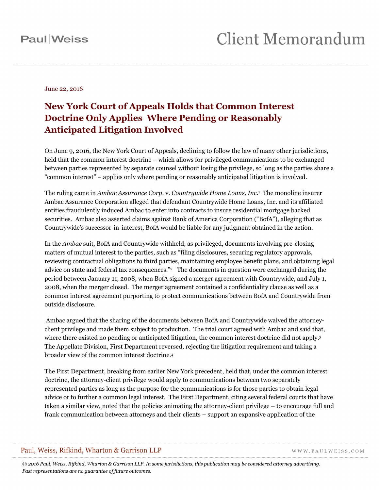#### **Paul**Weiss

# **Client Memorandum**

June 22, 2016

#### **New York Court of Appeals Holds that Common Interest Doctrine Only Applies Where Pending or Reasonably Anticipated Litigation Involved**

On June 9, 2016, the New York Court of Appeals, declining to follow the law of many other jurisdictions, held that the common interest doctrine – which allows for privileged communications to be exchanged between parties represented by separate counsel without losing the privilege, so long as the parties share a "common interest" – applies only where pending or reasonably anticipated litigation is involved.

The ruling came in *Ambac Assurance Corp.* v. *Countrywide Home Loans, Inc.*1 The monoline insurer Ambac Assurance Corporation alleged that defendant Countrywide Home Loans, Inc. and its affiliated entities fraudulently induced Ambac to enter into contracts to insure residential mortgage backed securities. Ambac also asserted claims against Bank of America Corporation ("BofA"), alleging that as Countrywide's successor-in-interest, BofA would be liable for any judgment obtained in the action.

In the *Ambac* suit, BofA and Countrywide withheld, as privileged, documents involving pre-closing matters of mutual interest to the parties, such as "filing disclosures, securing regulatory approvals, reviewing contractual obligations to third parties, maintaining employee benefit plans, and obtaining legal advice on state and federal tax consequences."2 The documents in question were exchanged during the period between January 11, 2008, when BofA signed a merger agreement with Countrywide, and July 1, 2008, when the merger closed. The merger agreement contained a confidentiality clause as well as a common interest agreement purporting to protect communications between BofA and Countrywide from outside disclosure.

 Ambac argued that the sharing of the documents between BofA and Countrywide waived the attorneyclient privilege and made them subject to production. The trial court agreed with Ambac and said that, where there existed no pending or anticipated litigation, the common interest doctrine did not apply.<sup>3</sup> The Appellate Division, First Department reversed, rejecting the litigation requirement and taking a broader view of the common interest doctrine*.4*

The First Department, breaking from earlier New York precedent, held that, under the common interest doctrine, the attorney-client privilege would apply to communications between two separately represented parties as long as the purpose for the communications is for those parties to obtain legal advice or to further a common legal interest. The First Department, citing several federal courts that have taken a similar view, noted that the policies animating the attorney-client privilege – to encourage full and frank communication between attorneys and their clients – support an expansive application of the

#### Paul, Weiss, Rifkind, Wharton & Garrison LLP

WWW.PAULWEISS.COM

*© 2016 Paul, Weiss, Rifkind, Wharton & Garrison LLP. In some jurisdictions, this publication may be considered attorney advertising. Past representations are no guarantee of future outcomes.*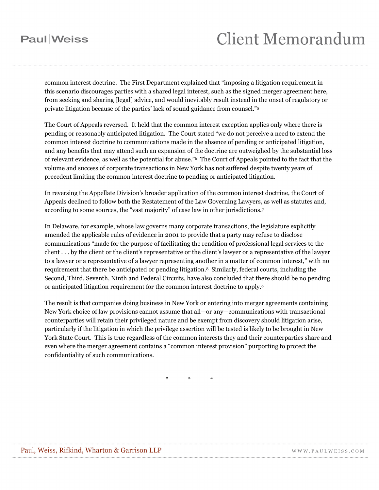### **Paul**Weiss

### **Client Memorandum**

common interest doctrine. The First Department explained that "imposing a litigation requirement in this scenario discourages parties with a shared legal interest, such as the signed merger agreement here, from seeking and sharing [legal] advice, and would inevitably result instead in the onset of regulatory or private litigation because of the parties' lack of sound guidance from counsel."5

The Court of Appeals reversed. It held that the common interest exception applies only where there is pending or reasonably anticipated litigation. The Court stated "we do not perceive a need to extend the common interest doctrine to communications made in the absence of pending or anticipated litigation, and any benefits that may attend such an expansion of the doctrine are outweighed by the substantial loss of relevant evidence, as well as the potential for abuse."6 The Court of Appeals pointed to the fact that the volume and success of corporate transactions in New York has not suffered despite twenty years of precedent limiting the common interest doctrine to pending or anticipated litigation.

In reversing the Appellate Division's broader application of the common interest doctrine, the Court of Appeals declined to follow both the Restatement of the Law Governing Lawyers, as well as statutes and, according to some sources, the "vast majority" of case law in other jurisdictions.7

In Delaware, for example, whose law governs many corporate transactions, the legislature explicitly amended the applicable rules of evidence in 2001 to provide that a party may refuse to disclose communications "made for the purpose of facilitating the rendition of professional legal services to the client . . . by the client or the client's representative or the client's lawyer or a representative of the lawyer to a lawyer or a representative of a lawyer representing another in a matter of common interest," with no requirement that there be anticipated or pending litigation.8 Similarly, federal courts, including the Second, Third, Seventh, Ninth and Federal Circuits, have also concluded that there should be no pending or anticipated litigation requirement for the common interest doctrine to apply.9

The result is that companies doing business in New York or entering into merger agreements containing New York choice of law provisions cannot assume that all—or any—communications with transactional counterparties will retain their privileged nature and be exempt from discovery should litigation arise, particularly if the litigation in which the privilege assertion will be tested is likely to be brought in New York State Court. This is true regardless of the common interests they and their counterparties share and even where the merger agreement contains a "common interest provision" purporting to protect the confidentiality of such communications.

\* \* \*

WWW.PAULWEISS.COM